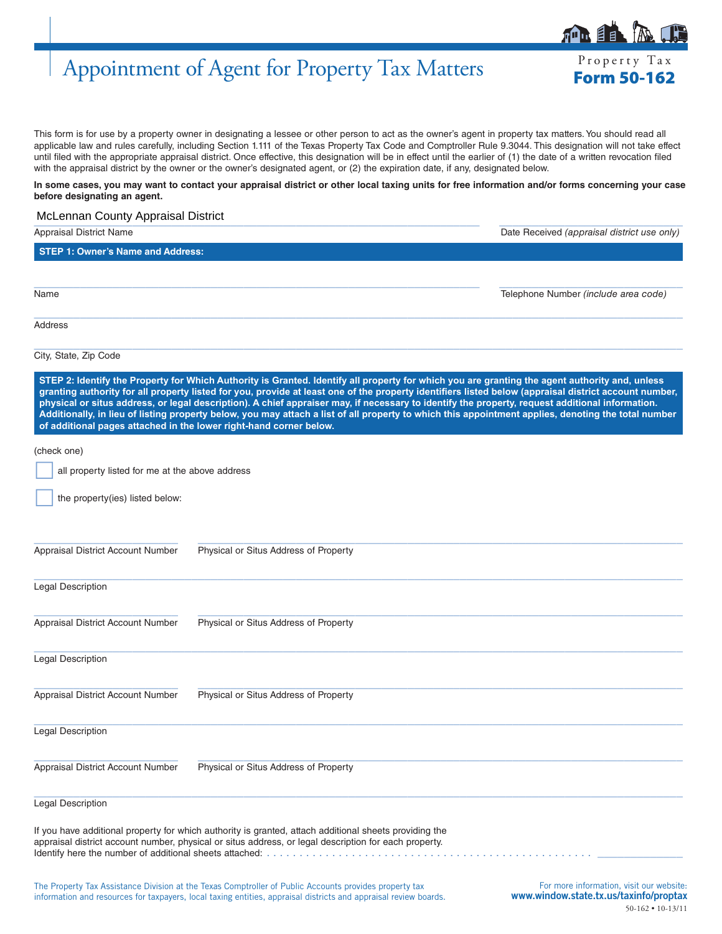# Appointment of Agent for Property Tax Matters Form 50-162

This form is for use by a property owner in designating a lessee or other person to act as the owner's agent in property tax matters. You should read all applicable law and rules carefully, including Section 1.111 of the Texas Property Tax Code and Comptroller Rule 9.3044. This designation will not take effect until filed with the appropriate appraisal district. Once effective, this designation will be in effect until the earlier of (1) the date of a written revocation filed with the appraisal district by the owner or the owner's designated agent, or (2) the expiration date, if any, designated below.

#### **In some cases, you may want to contact your appraisal district or other local taxing units for free information and/or forms concerning your case before designating an agent.**

### \_\_\_\_\_\_\_\_\_\_\_\_\_\_\_\_\_\_\_\_\_\_\_\_\_\_\_\_\_\_\_\_\_\_\_\_\_\_\_\_\_\_\_\_\_\_\_\_\_\_\_\_\_\_\_\_\_\_\_\_\_\_\_\_\_\_\_\_ \_\_\_\_\_\_\_\_\_\_\_\_\_\_\_\_\_\_\_\_\_\_\_\_\_\_\_\_ McLennan County Appraisal District

| <b>Appraisal District Name</b>                                     |                                                                                                                                                                                                                                                                                                                                                                                                                                                                                                                                                                                                                   | Date Received (appraisal district use only) |
|--------------------------------------------------------------------|-------------------------------------------------------------------------------------------------------------------------------------------------------------------------------------------------------------------------------------------------------------------------------------------------------------------------------------------------------------------------------------------------------------------------------------------------------------------------------------------------------------------------------------------------------------------------------------------------------------------|---------------------------------------------|
| <b>STEP 1: Owner's Name and Address:</b>                           |                                                                                                                                                                                                                                                                                                                                                                                                                                                                                                                                                                                                                   |                                             |
|                                                                    |                                                                                                                                                                                                                                                                                                                                                                                                                                                                                                                                                                                                                   |                                             |
| Name                                                               |                                                                                                                                                                                                                                                                                                                                                                                                                                                                                                                                                                                                                   | Telephone Number (include area code)        |
| Address                                                            |                                                                                                                                                                                                                                                                                                                                                                                                                                                                                                                                                                                                                   |                                             |
| City, State, Zip Code                                              |                                                                                                                                                                                                                                                                                                                                                                                                                                                                                                                                                                                                                   |                                             |
| of additional pages attached in the lower right-hand corner below. | STEP 2: Identify the Property for Which Authority is Granted. Identify all property for which you are granting the agent authority and, unless<br>granting authority for all property listed for you, provide at least one of the property identifiers listed below (appraisal district account number,<br>physical or situs address, or legal description). A chief appraiser may, if necessary to identify the property, request additional information.<br>Additionally, in lieu of listing property below, you may attach a list of all property to which this appointment applies, denoting the total number |                                             |
| (check one)                                                        |                                                                                                                                                                                                                                                                                                                                                                                                                                                                                                                                                                                                                   |                                             |
| all property listed for me at the above address                    |                                                                                                                                                                                                                                                                                                                                                                                                                                                                                                                                                                                                                   |                                             |
| the property(ies) listed below:                                    |                                                                                                                                                                                                                                                                                                                                                                                                                                                                                                                                                                                                                   |                                             |
| Appraisal District Account Number                                  | Physical or Situs Address of Property                                                                                                                                                                                                                                                                                                                                                                                                                                                                                                                                                                             |                                             |
| Legal Description                                                  |                                                                                                                                                                                                                                                                                                                                                                                                                                                                                                                                                                                                                   |                                             |
| Appraisal District Account Number                                  | Physical or Situs Address of Property                                                                                                                                                                                                                                                                                                                                                                                                                                                                                                                                                                             |                                             |
| Legal Description                                                  |                                                                                                                                                                                                                                                                                                                                                                                                                                                                                                                                                                                                                   |                                             |
| Appraisal District Account Number                                  | Physical or Situs Address of Property                                                                                                                                                                                                                                                                                                                                                                                                                                                                                                                                                                             |                                             |
| Legal Description                                                  |                                                                                                                                                                                                                                                                                                                                                                                                                                                                                                                                                                                                                   |                                             |
| Appraisal District Account Number                                  | Physical or Situs Address of Property                                                                                                                                                                                                                                                                                                                                                                                                                                                                                                                                                                             |                                             |
| <b>Legal Description</b>                                           |                                                                                                                                                                                                                                                                                                                                                                                                                                                                                                                                                                                                                   |                                             |
|                                                                    | If you have additional property for which authority is granted, attach additional sheets providing the<br>appraisal district account number, physical or situs address, or legal description for each property.                                                                                                                                                                                                                                                                                                                                                                                                   |                                             |

The Property Tax Assistance Division at the Texas Comptroller of Public Accounts provides property tax information and resources for taxpayers, local taxing entities, appraisal districts and appraisal review boards.



Property Tax